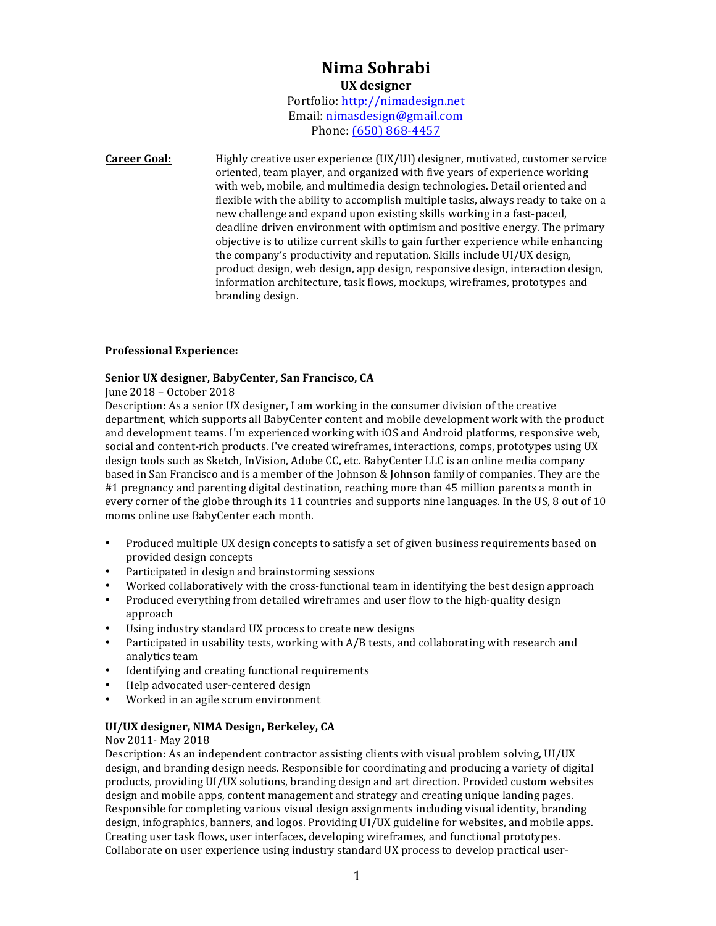# **Nima Sohrabi UX designer**

Portfolio: http://nimadesign.net Email: nimasdesign@gmail.com Phone: (650) 868-4457

**Career Goal:** Highly creative user experience (UX/UI) designer, motivated, customer service oriented, team player, and organized with five years of experience working with web, mobile, and multimedia design technologies. Detail oriented and flexible with the ability to accomplish multiple tasks, always ready to take on a new challenge and expand upon existing skills working in a fast-paced, deadline driven environment with optimism and positive energy. The primary objective is to utilize current skills to gain further experience while enhancing the company's productivity and reputation. Skills include UI/UX design, product design, web design, app design, responsive design, interaction design, information architecture, task flows, mockups, wireframes, prototypes and branding design.

### **Professional Experience:**

### Senior UX designer, BabyCenter, San Francisco, CA

#### June 2018 - October 2018

Description: As a senior UX designer, I am working in the consumer division of the creative department, which supports all BabyCenter content and mobile development work with the product and development teams. I'm experienced working with iOS and Android platforms, responsive web, social and content-rich products. I've created wireframes, interactions, comps, prototypes using UX design tools such as Sketch, InVision, Adobe CC, etc. BabyCenter LLC is an online media company based in San Francisco and is a member of the Johnson & Johnson family of companies. They are the  $#1$  pregnancy and parenting digital destination, reaching more than 45 million parents a month in every corner of the globe through its 11 countries and supports nine languages. In the US, 8 out of 10 moms online use BabyCenter each month.

- Produced multiple UX design concepts to satisfy a set of given business requirements based on provided design concepts
- Participated in design and brainstorming sessions
- Worked collaboratively with the cross-functional team in identifying the best design approach
- Produced everything from detailed wireframes and user flow to the high-quality design approach
- Using industry standard UX process to create new designs
- Participated in usability tests, working with  $A/B$  tests, and collaborating with research and analytics team
- Identifying and creating functional requirements
- Help advocated user-centered design
- Worked in an agile scrum environment

#### **UI/UX** designer, NIMA Design, Berkeley, CA

#### Nov 2011- May 2018

Description: As an independent contractor assisting clients with visual problem solving, UI/UX design, and branding design needs. Responsible for coordinating and producing a variety of digital products, providing UI/UX solutions, branding design and art direction. Provided custom websites design and mobile apps, content management and strategy and creating unique landing pages. Responsible for completing various visual design assignments including visual identity, branding design, infographics, banners, and logos. Providing UI/UX guideline for websites, and mobile apps. Creating user task flows, user interfaces, developing wireframes, and functional prototypes. Collaborate on user experience using industry standard UX process to develop practical user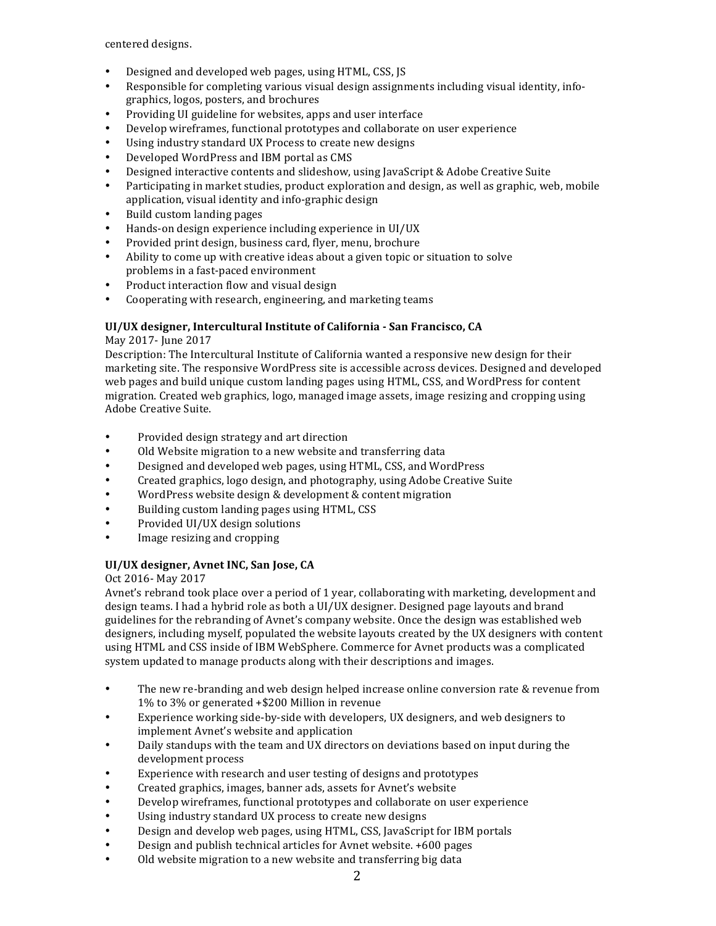centered designs.

- Designed and developed web pages, using HTML, CSS, JS
- Responsible for completing various visual design assignments including visual identity, infographics, logos, posters, and brochures
- Providing UI guideline for websites, apps and user interface
- Develop wireframes, functional prototypes and collaborate on user experience
- Using industry standard UX Process to create new designs
- Developed WordPress and IBM portal as CMS
- Designed interactive contents and slideshow, using JavaScript & Adobe Creative Suite
- Participating in market studies, product exploration and design, as well as graphic, web, mobile application, visual identity and info-graphic design
- Build custom landing pages
- Hands-on design experience including experience in UI/UX
- Provided print design, business card, flyer, menu, brochure
- Ability to come up with creative ideas about a given topic or situation to solve problems in a fast-paced environment
- Product interaction flow and visual design
- Cooperating with research, engineering, and marketing teams

### **UI/UX designer, Intercultural Institute of California - San Francisco, CA**

## May 2017- June 2017

Description: The Intercultural Institute of California wanted a responsive new design for their marketing site. The responsive WordPress site is accessible across devices. Designed and developed web pages and build unique custom landing pages using HTML, CSS, and WordPress for content migration. Created web graphics, logo, managed image assets, image resizing and cropping using Adobe Creative Suite.

- Provided design strategy and art direction
- Old Website migration to a new website and transferring data
- Designed and developed web pages, using HTML, CSS, and WordPress
- Created graphics, logo design, and photography, using Adobe Creative Suite
- WordPress website design & development & content migration
- Building custom landing pages using HTML, CSS
- Provided UI/UX design solutions
- Image resizing and cropping

#### **UI/UX** designer, Avnet INC, San Jose, CA

#### Oct 2016- May 2017

Avnet's rebrand took place over a period of 1 year, collaborating with marketing, development and design teams. I had a hybrid role as both a UI/UX designer. Designed page layouts and brand guidelines for the rebranding of Avnet's company website. Once the design was established web designers, including myself, populated the website layouts created by the UX designers with content using HTML and CSS inside of IBM WebSphere. Commerce for Avnet products was a complicated system updated to manage products along with their descriptions and images.

- The new re-branding and web design helped increase online conversion rate & revenue from 1% to 3% or generated +\$200 Million in revenue
- Experience working side-by-side with developers, UX designers, and web designers to implement Avnet's website and application
- Daily standups with the team and UX directors on deviations based on input during the development process
- Experience with research and user testing of designs and prototypes
- Created graphics, images, banner ads, assets for Avnet's website
- Develop wireframes, functional prototypes and collaborate on user experience
- Using industry standard UX process to create new designs
- Design and develop web pages, using HTML, CSS, JavaScript for IBM portals
- Design and publish technical articles for Avnet website. +600 pages
- Old website migration to a new website and transferring big data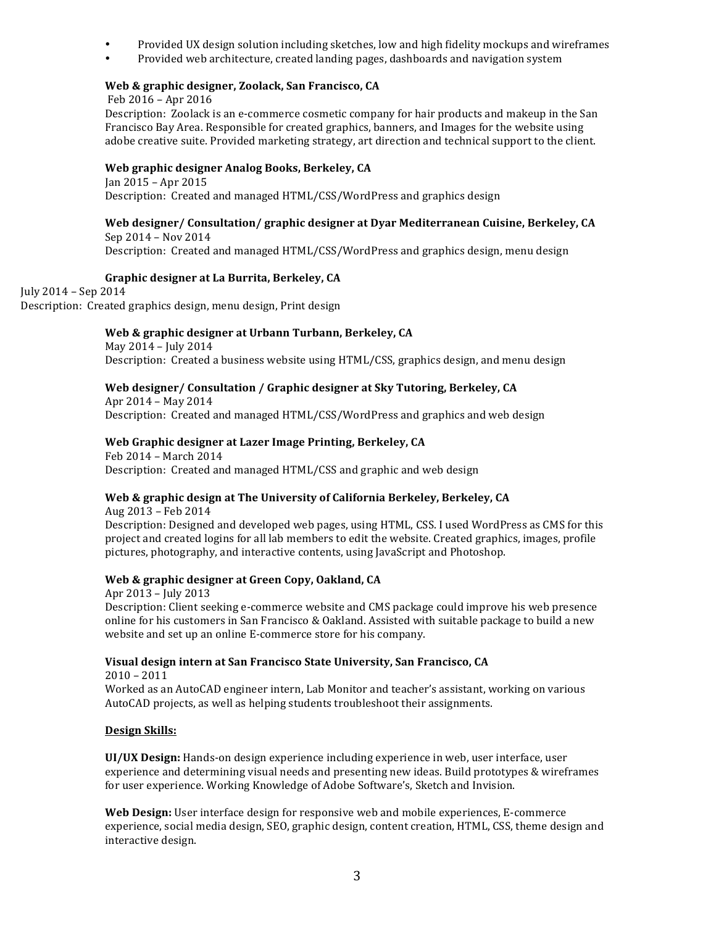- Provided UX design solution including sketches, low and high fidelity mockups and wireframes
- Provided web architecture, created landing pages, dashboards and navigation system

## Web & graphic designer, Zoolack, San Francisco, CA

#### Feb 2016 - Apr 2016

Description: Zoolack is an e-commerce cosmetic company for hair products and makeup in the San Francisco Bay Area. Responsible for created graphics, banners, and Images for the website using adobe creative suite. Provided marketing strategy, art direction and technical support to the client.

### Web graphic designer Analog Books, Berkeley, CA

 $Jan 2015 - Apr 2015$ Description: Created and managed HTML/CSS/WordPress and graphics design

## Web designer/ Consultation/ graphic designer at Dyar Mediterranean Cuisine, Berkeley, CA Sep 2014 - Nov 2014

Description: Created and managed HTML/CSS/WordPress and graphics design, menu design

### **Graphic designer at La Burrita, Berkeley, CA**

July 2014 – Sep 2014 Description: Created graphics design, menu design, Print design

### Web & graphic designer at Urbann Turbann, Berkeley, CA

May 2014 - July 2014 Description: Created a business website using HTML/CSS, graphics design, and menu design

### Web designer/ Consultation / Graphic designer at Sky Tutoring, Berkeley, CA

Apr  $2014 -$  May  $2014$ Description: Created and managed HTML/CSS/WordPress and graphics and web design

#### Web Graphic designer at Lazer Image Printing, Berkeley, CA

Feb 2014 - March 2014 Description: Created and managed HTML/CSS and graphic and web design

## **Web & graphic design at The University of California Berkeley, Berkeley, CA**

Aug 2013 – Feb 2014 Description: Designed and developed web pages, using HTML, CSS, I used WordPress as CMS for this project and created logins for all lab members to edit the website. Created graphics, images, profile pictures, photography, and interactive contents, using JavaScript and Photoshop.

#### **Web & graphic designer at Green Copy, Oakland, CA**

Apr 2013 - July 2013 Description: Client seeking e-commerce website and CMS package could improve his web presence online for his customers in San Francisco & Oakland. Assisted with suitable package to build a new website and set up an online E-commerce store for his company.

## **Visual design intern at San Francisco State University, San Francisco, CA**

 $2010 - 2011$ Worked as an AutoCAD engineer intern, Lab Monitor and teacher's assistant, working on various AutoCAD projects, as well as helping students troubleshoot their assignments.

#### **Design Skills:**

**UI/UX Design:** Hands-on design experience including experience in web, user interface, user experience and determining visual needs and presenting new ideas. Build prototypes & wireframes for user experience. Working Knowledge of Adobe Software's, Sketch and Invision.

**Web Design:** User interface design for responsive web and mobile experiences, E-commerce experience, social media design, SEO, graphic design, content creation, HTML, CSS, theme design and interactive design.